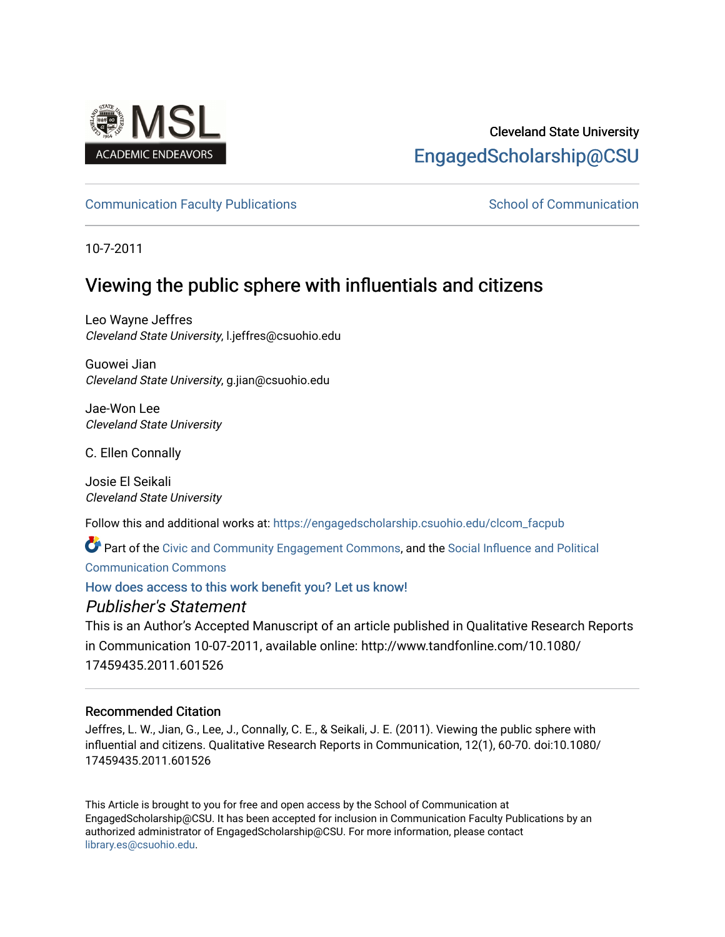

## Cleveland State University [EngagedScholarship@CSU](https://engagedscholarship.csuohio.edu/)

## [Communication Faculty Publications](https://engagedscholarship.csuohio.edu/clcom_facpub) [School of Communication](https://engagedscholarship.csuohio.edu/clcom) School of Communication

10-7-2011

# Viewing the public sphere with influentials and citizens

Leo Wayne Jeffres Cleveland State University, l.jeffres@csuohio.edu

Guowei Jian Cleveland State University, g.jian@csuohio.edu

Jae-Won Lee Cleveland State University

C. Ellen Connally

Josie El Seikali Cleveland State University

Follow this and additional works at: [https://engagedscholarship.csuohio.edu/clcom\\_facpub](https://engagedscholarship.csuohio.edu/clcom_facpub?utm_source=engagedscholarship.csuohio.edu%2Fclcom_facpub%2F16&utm_medium=PDF&utm_campaign=PDFCoverPages) 

Part of the [Civic and Community Engagement Commons](http://network.bepress.com/hgg/discipline/1028?utm_source=engagedscholarship.csuohio.edu%2Fclcom_facpub%2F16&utm_medium=PDF&utm_campaign=PDFCoverPages), and the [Social Influence and Political](http://network.bepress.com/hgg/discipline/337?utm_source=engagedscholarship.csuohio.edu%2Fclcom_facpub%2F16&utm_medium=PDF&utm_campaign=PDFCoverPages) [Communication Commons](http://network.bepress.com/hgg/discipline/337?utm_source=engagedscholarship.csuohio.edu%2Fclcom_facpub%2F16&utm_medium=PDF&utm_campaign=PDFCoverPages)

[How does access to this work benefit you? Let us know!](http://library.csuohio.edu/engaged/)

## Publisher's Statement

This is an Author's Accepted Manuscript of an article published in Qualitative Research Reports in Communication 10-07-2011, available online: http://www.tandfonline.com/10.1080/ 17459435.2011.601526

### Recommended Citation

Jeffres, L. W., Jian, G., Lee, J., Connally, C. E., & Seikali, J. E. (2011). Viewing the public sphere with influential and citizens. Qualitative Research Reports in Communication, 12(1), 60-70. doi:10.1080/ 17459435.2011.601526

This Article is brought to you for free and open access by the School of Communication at EngagedScholarship@CSU. It has been accepted for inclusion in Communication Faculty Publications by an authorized administrator of EngagedScholarship@CSU. For more information, please contact [library.es@csuohio.edu.](mailto:library.es@csuohio.edu)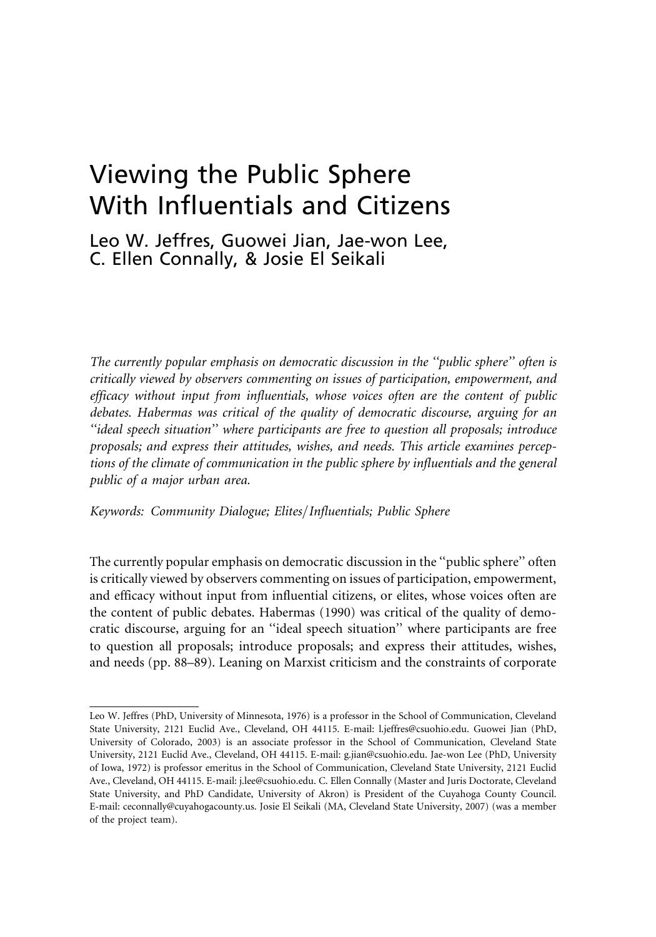# Viewing the Public Sphere With Influentials and Citizens

Leo W. Jeffres, Guowei Jian, Jae-won Lee, C. Ellen Connally, & Josie El Seikali

The currently popular emphasis on democratic discussion in the ''public sphere'' often is critically viewed by observers commenting on issues of participation, empowerment, and efficacy without input from influentials, whose voices often are the content of public debates. Habermas was critical of the quality of democratic discourse, arguing for an ''ideal speech situation'' where participants are free to question all proposals; introduce proposals; and express their attitudes, wishes, and needs. This article examines perceptions of the climate of communication in the public sphere by influentials and the general public of a major urban area.

Keywords: Community Dialogue; Elites/Influentials; Public Sphere

The currently popular emphasis on democratic discussion in the ''public sphere'' often is critically viewed by observers commenting on issues of participation, empowerment, and efficacy without input from influential citizens, or elites, whose voices often are the content of public debates. Habermas (1990) was critical of the quality of democratic discourse, arguing for an ''ideal speech situation'' where participants are free to question all proposals; introduce proposals; and express their attitudes, wishes, and needs (pp. 88–89). Leaning on Marxist criticism and the constraints of corporate

Leo W. Jeffres (PhD, University of Minnesota, 1976) is a professor in the School of Communication, Cleveland State University, 2121 Euclid Ave., Cleveland, OH 44115. E-mail: l.jeffres@csuohio.edu. Guowei Jian (PhD, University of Colorado, 2003) is an associate professor in the School of Communication, Cleveland State University, 2121 Euclid Ave., Cleveland, OH 44115. E-mail: g.jian@csuohio.edu. Jae-won Lee (PhD, University of Iowa, 1972) is professor emeritus in the School of Communication, Cleveland State University, 2121 Euclid Ave., Cleveland, OH 44115. E-mail: j.lee@csuohio.edu. C. Ellen Connally (Master and Juris Doctorate, Cleveland State University, and PhD Candidate, University of Akron) is President of the Cuyahoga County Council. E-mail: ceconnally@cuyahogacounty.us. Josie El Seikali (MA, Cleveland State University, 2007) (was a member of the project team).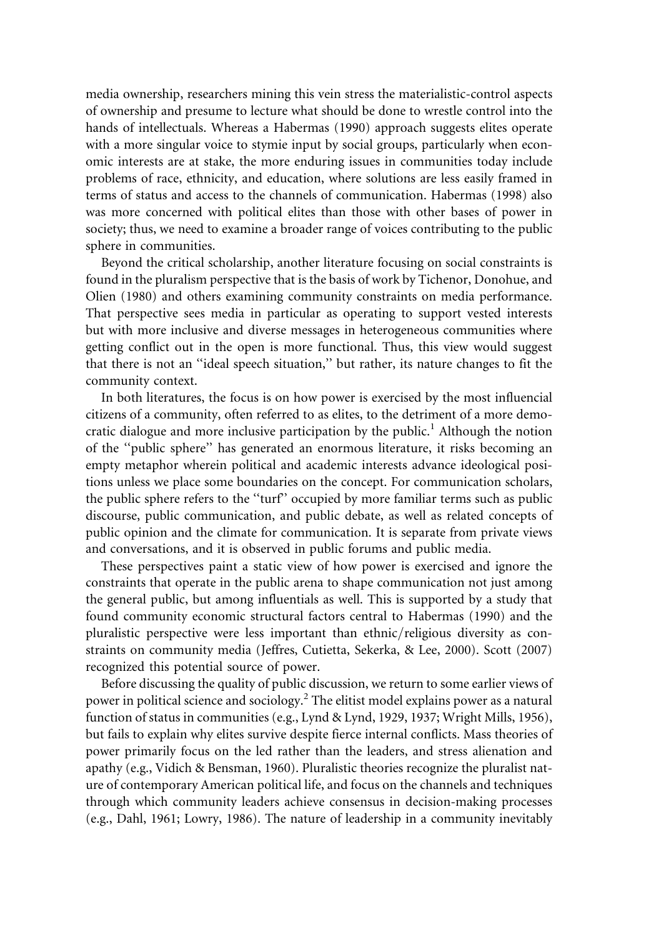media ownership, researchers mining this vein stress the materialistic-control aspects of ownership and presume to lecture what should be done to wrestle control into the hands of intellectuals. Whereas a Habermas (1990) approach suggests elites operate with a more singular voice to stymie input by social groups, particularly when economic interests are at stake, the more enduring issues in communities today include problems of race, ethnicity, and education, where solutions are less easily framed in terms of status and access to the channels of communication. Habermas (1998) also was more concerned with political elites than those with other bases of power in society; thus, we need to examine a broader range of voices contributing to the public sphere in communities.

Beyond the critical scholarship, another literature focusing on social constraints is found in the pluralism perspective that is the basis of work by Tichenor, Donohue, and Olien (1980) and others examining community constraints on media performance. That perspective sees media in particular as operating to support vested interests but with more inclusive and diverse messages in heterogeneous communities where getting conflict out in the open is more functional. Thus, this view would suggest that there is not an ''ideal speech situation,'' but rather, its nature changes to fit the community context.

In both literatures, the focus is on how power is exercised by the most influencial citizens of a community, often referred to as elites, to the detriment of a more democratic dialogue and more inclusive participation by the public.<sup>1</sup> Although the notion of the ''public sphere'' has generated an enormous literature, it risks becoming an empty metaphor wherein political and academic interests advance ideological positions unless we place some boundaries on the concept. For communication scholars, the public sphere refers to the ''turf'' occupied by more familiar terms such as public discourse, public communication, and public debate, as well as related concepts of public opinion and the climate for communication. It is separate from private views and conversations, and it is observed in public forums and public media.

These perspectives paint a static view of how power is exercised and ignore the constraints that operate in the public arena to shape communication not just among the general public, but among influentials as well. This is supported by a study that found community economic structural factors central to Habermas (1990) and the pluralistic perspective were less important than ethnic/religious diversity as constraints on community media (Jeffres, Cutietta, Sekerka, & Lee, 2000). Scott (2007) recognized this potential source of power.

Before discussing the quality of public discussion, we return to some earlier views of power in political science and sociology.<sup>2</sup> The elitist model explains power as a natural function of status in communities (e.g., Lynd & Lynd, 1929, 1937; Wright Mills, 1956), but fails to explain why elites survive despite fierce internal conflicts. Mass theories of power primarily focus on the led rather than the leaders, and stress alienation and apathy (e.g., Vidich & Bensman, 1960). Pluralistic theories recognize the pluralist nature of contemporary American political life, and focus on the channels and techniques through which community leaders achieve consensus in decision-making processes (e.g., Dahl, 1961; Lowry, 1986). The nature of leadership in a community inevitably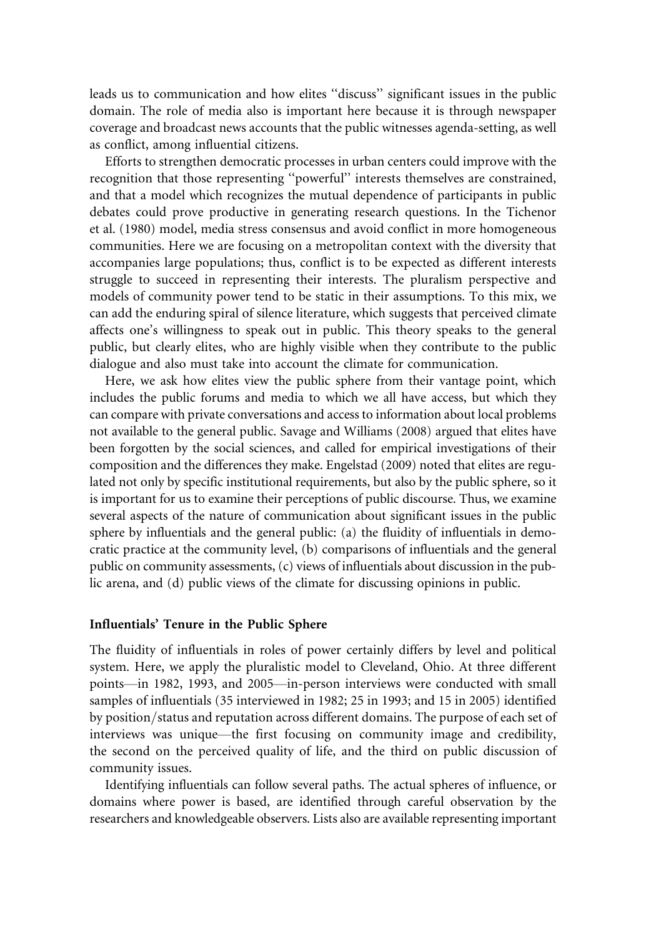leads us to communication and how elites ''discuss'' significant issues in the public domain. The role of media also is important here because it is through newspaper coverage and broadcast news accounts that the public witnesses agenda-setting, as well as conflict, among influential citizens.

Efforts to strengthen democratic processes in urban centers could improve with the recognition that those representing ''powerful'' interests themselves are constrained, and that a model which recognizes the mutual dependence of participants in public debates could prove productive in generating research questions. In the Tichenor et al. (1980) model, media stress consensus and avoid conflict in more homogeneous communities. Here we are focusing on a metropolitan context with the diversity that accompanies large populations; thus, conflict is to be expected as different interests struggle to succeed in representing their interests. The pluralism perspective and models of community power tend to be static in their assumptions. To this mix, we can add the enduring spiral of silence literature, which suggests that perceived climate affects one's willingness to speak out in public. This theory speaks to the general public, but clearly elites, who are highly visible when they contribute to the public dialogue and also must take into account the climate for communication.

Here, we ask how elites view the public sphere from their vantage point, which includes the public forums and media to which we all have access, but which they can compare with private conversations and access to information about local problems not available to the general public. Savage and Williams (2008) argued that elites have been forgotten by the social sciences, and called for empirical investigations of their composition and the differences they make. Engelstad (2009) noted that elites are regulated not only by specific institutional requirements, but also by the public sphere, so it is important for us to examine their perceptions of public discourse. Thus, we examine several aspects of the nature of communication about significant issues in the public sphere by influentials and the general public: (a) the fluidity of influentials in democratic practice at the community level, (b) comparisons of influentials and the general public on community assessments, (c) views of influentials about discussion in the public arena, and (d) public views of the climate for discussing opinions in public.

#### Influentials' Tenure in the Public Sphere

The fluidity of influentials in roles of power certainly differs by level and political system. Here, we apply the pluralistic model to Cleveland, Ohio. At three different points—in 1982, 1993, and 2005—in-person interviews were conducted with small samples of influentials (35 interviewed in 1982; 25 in 1993; and 15 in 2005) identified by position/status and reputation across different domains. The purpose of each set of interviews was unique—the first focusing on community image and credibility, the second on the perceived quality of life, and the third on public discussion of community issues.

Identifying influentials can follow several paths. The actual spheres of influence, or domains where power is based, are identified through careful observation by the researchers and knowledgeable observers. Lists also are available representing important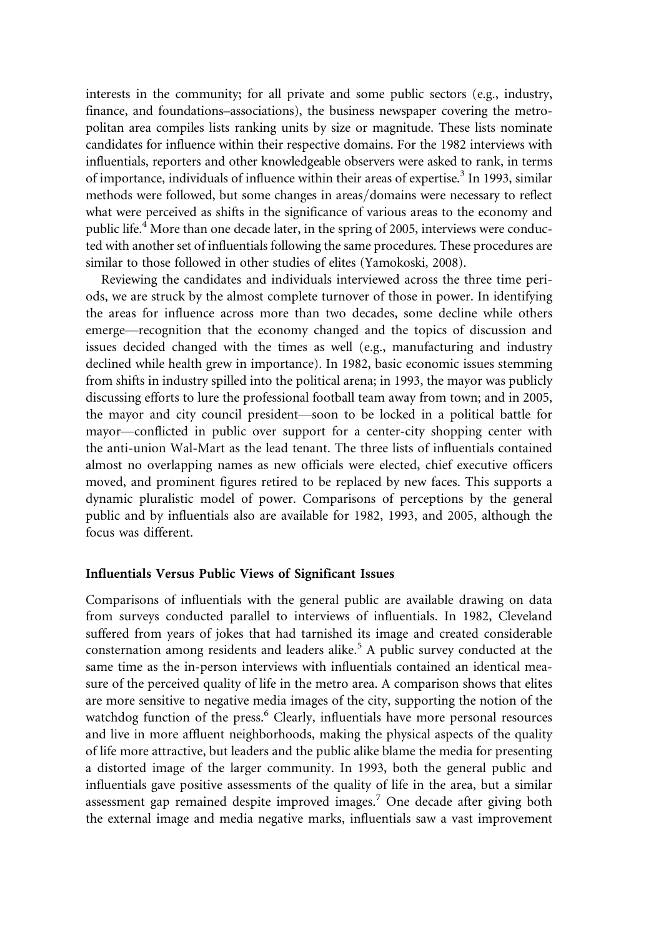interests in the community; for all private and some public sectors (e.g., industry, finance, and foundations–associations), the business newspaper covering the metropolitan area compiles lists ranking units by size or magnitude. These lists nominate candidates for influence within their respective domains. For the 1982 interviews with influentials, reporters and other knowledgeable observers were asked to rank, in terms of importance, individuals of influence within their areas of expertise.<sup>3</sup> In 1993, similar methods were followed, but some changes in areas/domains were necessary to reflect what were perceived as shifts in the significance of various areas to the economy and public life.<sup>4</sup> More than one decade later, in the spring of 2005, interviews were conducted with another set of influentials following the same procedures. These procedures are similar to those followed in other studies of elites (Yamokoski, 2008).

Reviewing the candidates and individuals interviewed across the three time periods, we are struck by the almost complete turnover of those in power. In identifying the areas for influence across more than two decades, some decline while others emerge—recognition that the economy changed and the topics of discussion and issues decided changed with the times as well (e.g., manufacturing and industry declined while health grew in importance). In 1982, basic economic issues stemming from shifts in industry spilled into the political arena; in 1993, the mayor was publicly discussing efforts to lure the professional football team away from town; and in 2005, the mayor and city council president—soon to be locked in a political battle for mayor—conflicted in public over support for a center-city shopping center with the anti-union Wal-Mart as the lead tenant. The three lists of influentials contained almost no overlapping names as new officials were elected, chief executive officers moved, and prominent figures retired to be replaced by new faces. This supports a dynamic pluralistic model of power. Comparisons of perceptions by the general public and by influentials also are available for 1982, 1993, and 2005, although the focus was different.

#### Influentials Versus Public Views of Significant Issues

Comparisons of influentials with the general public are available drawing on data from surveys conducted parallel to interviews of influentials. In 1982, Cleveland suffered from years of jokes that had tarnished its image and created considerable consternation among residents and leaders alike.<sup>5</sup> A public survey conducted at the same time as the in-person interviews with influentials contained an identical measure of the perceived quality of life in the metro area. A comparison shows that elites are more sensitive to negative media images of the city, supporting the notion of the watchdog function of the press.<sup>6</sup> Clearly, influentials have more personal resources and live in more affluent neighborhoods, making the physical aspects of the quality of life more attractive, but leaders and the public alike blame the media for presenting a distorted image of the larger community. In 1993, both the general public and influentials gave positive assessments of the quality of life in the area, but a similar assessment gap remained despite improved images.<sup>7</sup> One decade after giving both the external image and media negative marks, influentials saw a vast improvement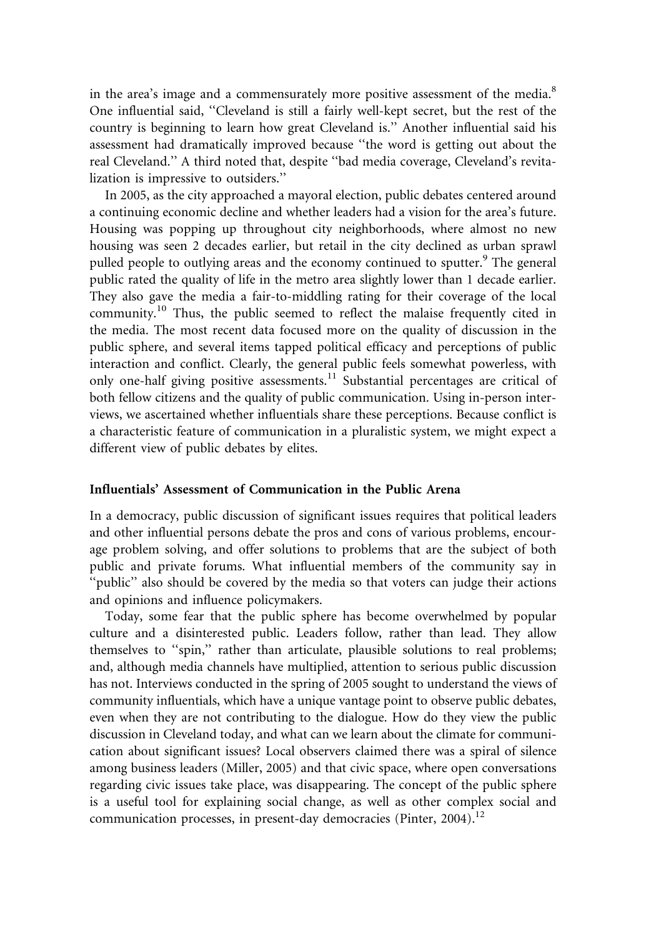in the area's image and a commensurately more positive assessment of the media.<sup>8</sup> One influential said, ''Cleveland is still a fairly well-kept secret, but the rest of the country is beginning to learn how great Cleveland is.'' Another influential said his assessment had dramatically improved because ''the word is getting out about the real Cleveland.'' A third noted that, despite ''bad media coverage, Cleveland's revitalization is impressive to outsiders.''

In 2005, as the city approached a mayoral election, public debates centered around a continuing economic decline and whether leaders had a vision for the area's future. Housing was popping up throughout city neighborhoods, where almost no new housing was seen 2 decades earlier, but retail in the city declined as urban sprawl pulled people to outlying areas and the economy continued to sputter.<sup>9</sup> The general public rated the quality of life in the metro area slightly lower than 1 decade earlier. They also gave the media a fair-to-middling rating for their coverage of the local community.<sup>10</sup> Thus, the public seemed to reflect the malaise frequently cited in the media. The most recent data focused more on the quality of discussion in the public sphere, and several items tapped political efficacy and perceptions of public interaction and conflict. Clearly, the general public feels somewhat powerless, with only one-half giving positive assessments.<sup>11</sup> Substantial percentages are critical of both fellow citizens and the quality of public communication. Using in-person interviews, we ascertained whether influentials share these perceptions. Because conflict is a characteristic feature of communication in a pluralistic system, we might expect a different view of public debates by elites.

#### Influentials' Assessment of Communication in the Public Arena

In a democracy, public discussion of significant issues requires that political leaders and other influential persons debate the pros and cons of various problems, encourage problem solving, and offer solutions to problems that are the subject of both public and private forums. What influential members of the community say in "public" also should be covered by the media so that voters can judge their actions and opinions and influence policymakers.

Today, some fear that the public sphere has become overwhelmed by popular culture and a disinterested public. Leaders follow, rather than lead. They allow themselves to ''spin,'' rather than articulate, plausible solutions to real problems; and, although media channels have multiplied, attention to serious public discussion has not. Interviews conducted in the spring of 2005 sought to understand the views of community influentials, which have a unique vantage point to observe public debates, even when they are not contributing to the dialogue. How do they view the public discussion in Cleveland today, and what can we learn about the climate for communication about significant issues? Local observers claimed there was a spiral of silence among business leaders (Miller, 2005) and that civic space, where open conversations regarding civic issues take place, was disappearing. The concept of the public sphere is a useful tool for explaining social change, as well as other complex social and communication processes, in present-day democracies (Pinter, 2004).<sup>12</sup>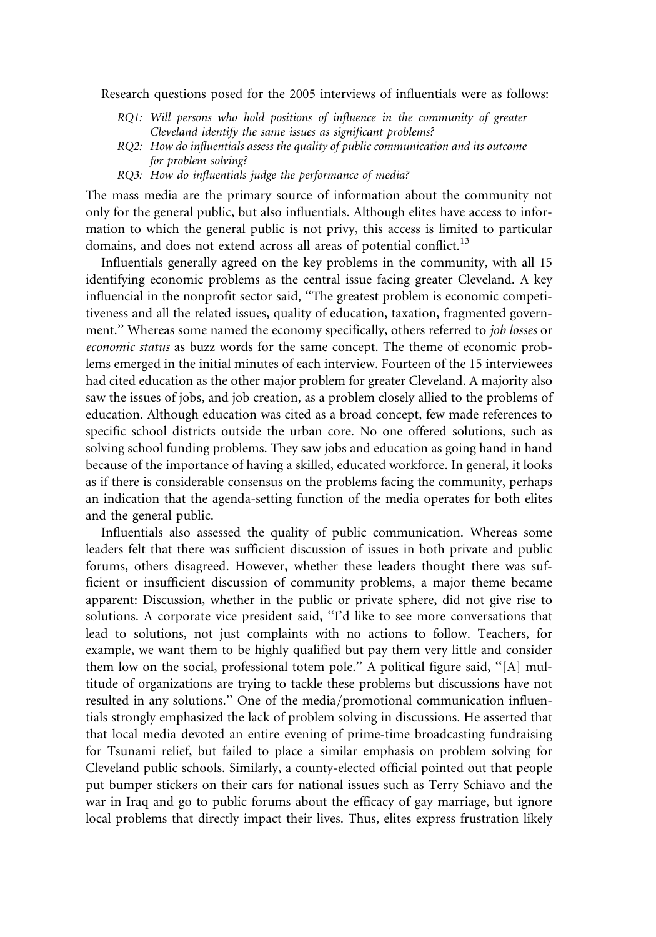Research questions posed for the 2005 interviews of influentials were as follows:

- RQ1: Will persons who hold positions of influence in the community of greater Cleveland identify the same issues as significant problems?
- RQ2: How do influentials assess the quality of public communication and its outcome for problem solving?
- RQ3: How do influentials judge the performance of media?

The mass media are the primary source of information about the community not only for the general public, but also influentials. Although elites have access to information to which the general public is not privy, this access is limited to particular domains, and does not extend across all areas of potential conflict.<sup>13</sup>

Influentials generally agreed on the key problems in the community, with all 15 identifying economic problems as the central issue facing greater Cleveland. A key influencial in the nonprofit sector said, ''The greatest problem is economic competitiveness and all the related issues, quality of education, taxation, fragmented government." Whereas some named the economy specifically, others referred to *job losses* or economic status as buzz words for the same concept. The theme of economic problems emerged in the initial minutes of each interview. Fourteen of the 15 interviewees had cited education as the other major problem for greater Cleveland. A majority also saw the issues of jobs, and job creation, as a problem closely allied to the problems of education. Although education was cited as a broad concept, few made references to specific school districts outside the urban core. No one offered solutions, such as solving school funding problems. They saw jobs and education as going hand in hand because of the importance of having a skilled, educated workforce. In general, it looks as if there is considerable consensus on the problems facing the community, perhaps an indication that the agenda-setting function of the media operates for both elites and the general public.

Influentials also assessed the quality of public communication. Whereas some leaders felt that there was sufficient discussion of issues in both private and public forums, others disagreed. However, whether these leaders thought there was sufficient or insufficient discussion of community problems, a major theme became apparent: Discussion, whether in the public or private sphere, did not give rise to solutions. A corporate vice president said, ''I'd like to see more conversations that lead to solutions, not just complaints with no actions to follow. Teachers, for example, we want them to be highly qualified but pay them very little and consider them low on the social, professional totem pole.'' A political figure said, ''[A] multitude of organizations are trying to tackle these problems but discussions have not resulted in any solutions." One of the media/promotional communication influentials strongly emphasized the lack of problem solving in discussions. He asserted that that local media devoted an entire evening of prime-time broadcasting fundraising for Tsunami relief, but failed to place a similar emphasis on problem solving for Cleveland public schools. Similarly, a county-elected official pointed out that people put bumper stickers on their cars for national issues such as Terry Schiavo and the war in Iraq and go to public forums about the efficacy of gay marriage, but ignore local problems that directly impact their lives. Thus, elites express frustration likely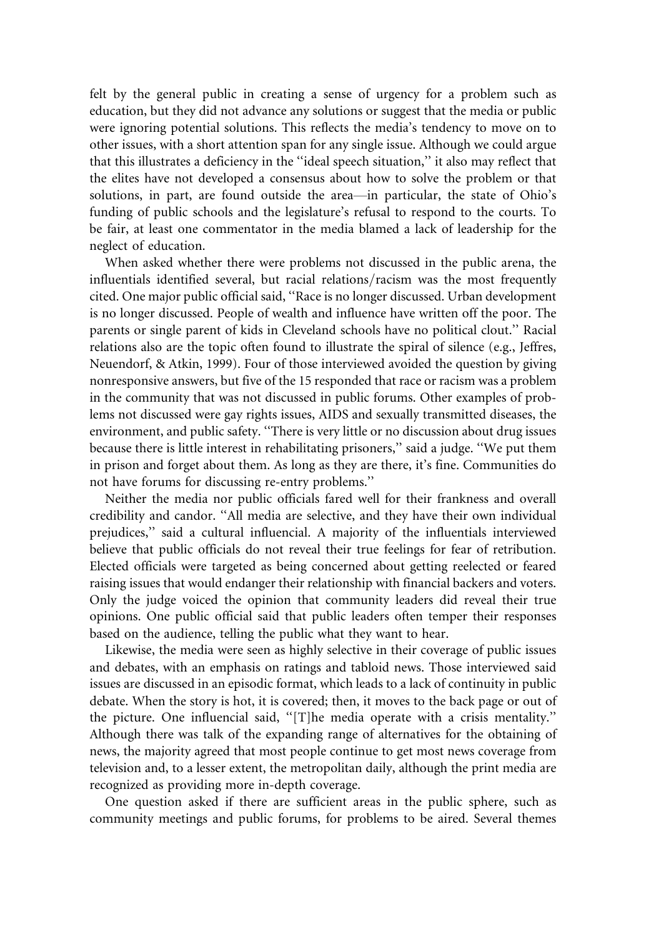felt by the general public in creating a sense of urgency for a problem such as education, but they did not advance any solutions or suggest that the media or public were ignoring potential solutions. This reflects the media's tendency to move on to other issues, with a short attention span for any single issue. Although we could argue that this illustrates a deficiency in the ''ideal speech situation,'' it also may reflect that the elites have not developed a consensus about how to solve the problem or that solutions, in part, are found outside the area—in particular, the state of Ohio's funding of public schools and the legislature's refusal to respond to the courts. To be fair, at least one commentator in the media blamed a lack of leadership for the neglect of education.

When asked whether there were problems not discussed in the public arena, the influentials identified several, but racial relations/racism was the most frequently cited. One major public official said, ''Race is no longer discussed. Urban development is no longer discussed. People of wealth and influence have written off the poor. The parents or single parent of kids in Cleveland schools have no political clout.'' Racial relations also are the topic often found to illustrate the spiral of silence (e.g., Jeffres, Neuendorf, & Atkin, 1999). Four of those interviewed avoided the question by giving nonresponsive answers, but five of the 15 responded that race or racism was a problem in the community that was not discussed in public forums. Other examples of problems not discussed were gay rights issues, AIDS and sexually transmitted diseases, the environment, and public safety. ''There is very little or no discussion about drug issues because there is little interest in rehabilitating prisoners,'' said a judge. ''We put them in prison and forget about them. As long as they are there, it's fine. Communities do not have forums for discussing re-entry problems.''

Neither the media nor public officials fared well for their frankness and overall credibility and candor. ''All media are selective, and they have their own individual prejudices,'' said a cultural influencial. A majority of the influentials interviewed believe that public officials do not reveal their true feelings for fear of retribution. Elected officials were targeted as being concerned about getting reelected or feared raising issues that would endanger their relationship with financial backers and voters. Only the judge voiced the opinion that community leaders did reveal their true opinions. One public official said that public leaders often temper their responses based on the audience, telling the public what they want to hear.

Likewise, the media were seen as highly selective in their coverage of public issues and debates, with an emphasis on ratings and tabloid news. Those interviewed said issues are discussed in an episodic format, which leads to a lack of continuity in public debate. When the story is hot, it is covered; then, it moves to the back page or out of the picture. One influencial said, ''[T]he media operate with a crisis mentality.'' Although there was talk of the expanding range of alternatives for the obtaining of news, the majority agreed that most people continue to get most news coverage from television and, to a lesser extent, the metropolitan daily, although the print media are recognized as providing more in-depth coverage.

One question asked if there are sufficient areas in the public sphere, such as community meetings and public forums, for problems to be aired. Several themes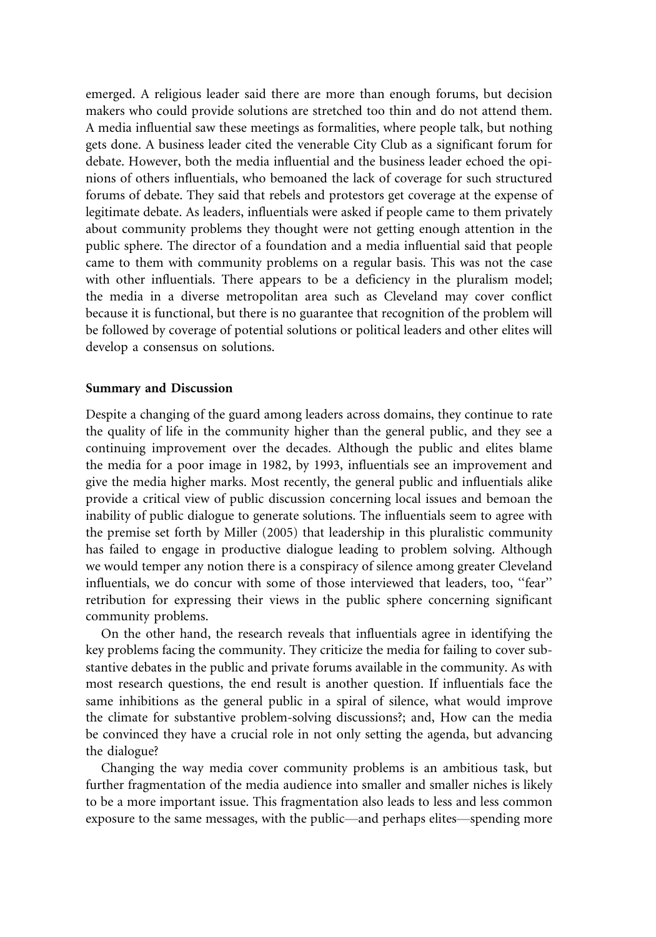emerged. A religious leader said there are more than enough forums, but decision makers who could provide solutions are stretched too thin and do not attend them. A media influential saw these meetings as formalities, where people talk, but nothing gets done. A business leader cited the venerable City Club as a significant forum for debate. However, both the media influential and the business leader echoed the opinions of others influentials, who bemoaned the lack of coverage for such structured forums of debate. They said that rebels and protestors get coverage at the expense of legitimate debate. As leaders, influentials were asked if people came to them privately about community problems they thought were not getting enough attention in the public sphere. The director of a foundation and a media influential said that people came to them with community problems on a regular basis. This was not the case with other influentials. There appears to be a deficiency in the pluralism model; the media in a diverse metropolitan area such as Cleveland may cover conflict because it is functional, but there is no guarantee that recognition of the problem will be followed by coverage of potential solutions or political leaders and other elites will develop a consensus on solutions.

#### Summary and Discussion

Despite a changing of the guard among leaders across domains, they continue to rate the quality of life in the community higher than the general public, and they see a continuing improvement over the decades. Although the public and elites blame the media for a poor image in 1982, by 1993, influentials see an improvement and give the media higher marks. Most recently, the general public and influentials alike provide a critical view of public discussion concerning local issues and bemoan the inability of public dialogue to generate solutions. The influentials seem to agree with the premise set forth by Miller (2005) that leadership in this pluralistic community has failed to engage in productive dialogue leading to problem solving. Although we would temper any notion there is a conspiracy of silence among greater Cleveland influentials, we do concur with some of those interviewed that leaders, too, ''fear'' retribution for expressing their views in the public sphere concerning significant community problems.

On the other hand, the research reveals that influentials agree in identifying the key problems facing the community. They criticize the media for failing to cover substantive debates in the public and private forums available in the community. As with most research questions, the end result is another question. If influentials face the same inhibitions as the general public in a spiral of silence, what would improve the climate for substantive problem-solving discussions?; and, How can the media be convinced they have a crucial role in not only setting the agenda, but advancing the dialogue?

Changing the way media cover community problems is an ambitious task, but further fragmentation of the media audience into smaller and smaller niches is likely to be a more important issue. This fragmentation also leads to less and less common exposure to the same messages, with the public—and perhaps elites—spending more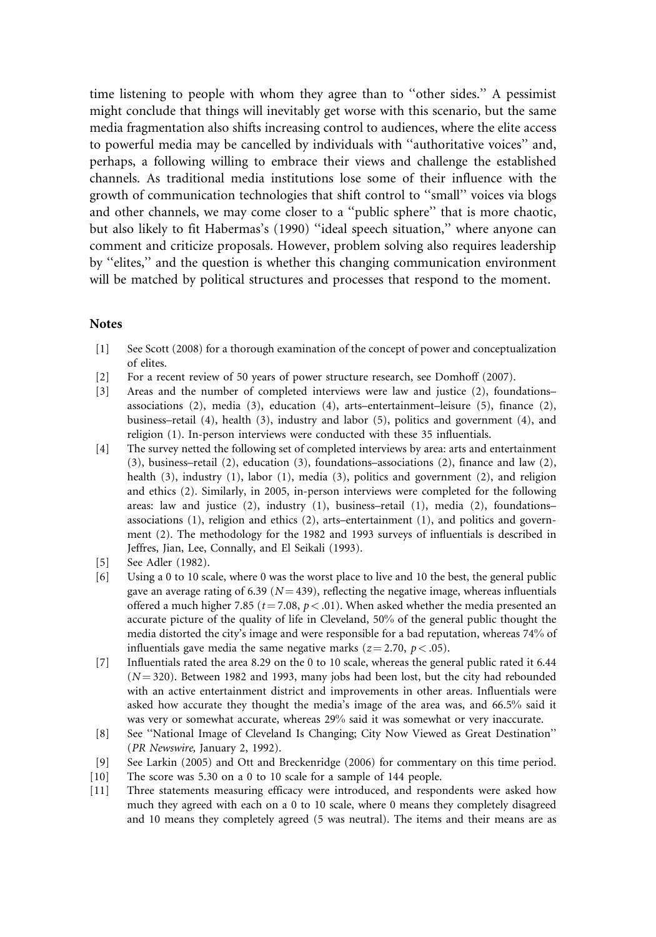time listening to people with whom they agree than to ''other sides.'' A pessimist might conclude that things will inevitably get worse with this scenario, but the same media fragmentation also shifts increasing control to audiences, where the elite access to powerful media may be cancelled by individuals with ''authoritative voices'' and, perhaps, a following willing to embrace their views and challenge the established channels. As traditional media institutions lose some of their influence with the growth of communication technologies that shift control to ''small'' voices via blogs and other channels, we may come closer to a ''public sphere'' that is more chaotic, but also likely to fit Habermas's (1990) ''ideal speech situation,'' where anyone can comment and criticize proposals. However, problem solving also requires leadership by ''elites,'' and the question is whether this changing communication environment will be matched by political structures and processes that respond to the moment.

#### **Notes**

- [1] See Scott (2008) for a thorough examination of the concept of power and conceptualization of elites.
- [2] For a recent review of 50 years of power structure research, see Domhoff (2007).
- [3] Areas and the number of completed interviews were law and justice (2), foundations– associations (2), media (3), education (4), arts–entertainment–leisure (5), finance (2), business–retail (4), health (3), industry and labor (5), politics and government (4), and religion (1). In-person interviews were conducted with these 35 influentials.
- [4] The survey netted the following set of completed interviews by area: arts and entertainment (3), business–retail (2), education (3), foundations–associations (2), finance and law (2), health (3), industry (1), labor (1), media (3), politics and government (2), and religion and ethics (2). Similarly, in 2005, in-person interviews were completed for the following areas: law and justice (2), industry (1), business–retail (1), media (2), foundations– associations (1), religion and ethics (2), arts–entertainment (1), and politics and government (2). The methodology for the 1982 and 1993 surveys of influentials is described in Jeffres, Jian, Lee, Connally, and El Seikali (1993).
- [5] See Adler (1982).
- [6] Using a 0 to 10 scale, where 0 was the worst place to live and 10 the best, the general public gave an average rating of 6.39 ( $N = 439$ ), reflecting the negative image, whereas influentials offered a much higher 7.85 ( $t = 7.08$ ,  $p < .01$ ). When asked whether the media presented an accurate picture of the quality of life in Cleveland, 50% of the general public thought the media distorted the city's image and were responsible for a bad reputation, whereas 74% of influentials gave media the same negative marks ( $z = 2.70$ ,  $p < .05$ ).
- [7] Influentials rated the area 8.29 on the 0 to 10 scale, whereas the general public rated it 6.44  $(N = 320)$ . Between 1982 and 1993, many jobs had been lost, but the city had rebounded with an active entertainment district and improvements in other areas. Influentials were asked how accurate they thought the media's image of the area was, and 66.5% said it was very or somewhat accurate, whereas 29% said it was somewhat or very inaccurate.
- [8] See ''National Image of Cleveland Is Changing; City Now Viewed as Great Destination'' (PR Newswire, January 2, 1992).
- [9] See Larkin (2005) and Ott and Breckenridge (2006) for commentary on this time period.
- [10] The score was 5.30 on a 0 to 10 scale for a sample of 144 people.
- [11] Three statements measuring efficacy were introduced, and respondents were asked how much they agreed with each on a 0 to 10 scale, where 0 means they completely disagreed and 10 means they completely agreed (5 was neutral). The items and their means are as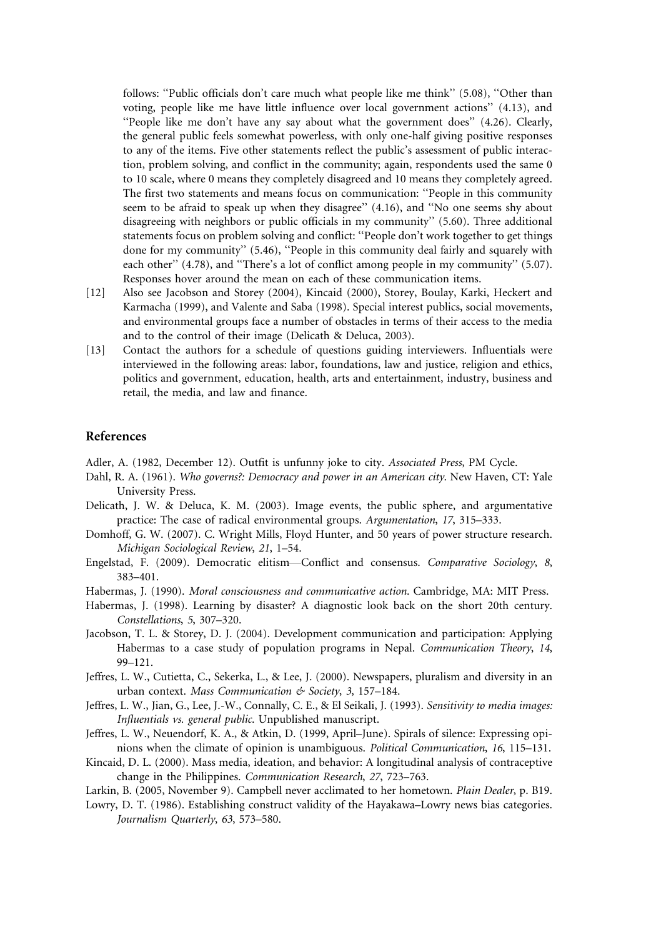follows: ''Public officials don't care much what people like me think'' (5.08), ''Other than voting, people like me have little influence over local government actions'' (4.13), and ''People like me don't have any say about what the government does'' (4.26). Clearly, the general public feels somewhat powerless, with only one-half giving positive responses to any of the items. Five other statements reflect the public's assessment of public interaction, problem solving, and conflict in the community; again, respondents used the same 0 to 10 scale, where 0 means they completely disagreed and 10 means they completely agreed. The first two statements and means focus on communication: ''People in this community seem to be afraid to speak up when they disagree'' (4.16), and ''No one seems shy about disagreeing with neighbors or public officials in my community'' (5.60). Three additional statements focus on problem solving and conflict: ''People don't work together to get things done for my community'' (5.46), ''People in this community deal fairly and squarely with each other" (4.78), and "There's a lot of conflict among people in my community" (5.07). Responses hover around the mean on each of these communication items.

- [12] Also see Jacobson and Storey (2004), Kincaid (2000), Storey, Boulay, Karki, Heckert and Karmacha (1999), and Valente and Saba (1998). Special interest publics, social movements, and environmental groups face a number of obstacles in terms of their access to the media and to the control of their image (Delicath & Deluca, 2003).
- [13] Contact the authors for a schedule of questions guiding interviewers. Influentials were interviewed in the following areas: labor, foundations, law and justice, religion and ethics, politics and government, education, health, arts and entertainment, industry, business and retail, the media, and law and finance.

#### References

Adler, A. (1982, December 12). Outfit is unfunny joke to city. Associated Press, PM Cycle.

- Dahl, R. A. (1961). Who governs?: Democracy and power in an American city. New Haven, CT: Yale University Press.
- Delicath, J. W. & Deluca, K. M. (2003). Image events, the public sphere, and argumentative practice: The case of radical environmental groups. Argumentation, 17, 315–333.
- Domhoff, G. W. (2007). C. Wright Mills, Floyd Hunter, and 50 years of power structure research. Michigan Sociological Review, 21, 1–54.
- Engelstad, F. (2009). Democratic elitism—Conflict and consensus. Comparative Sociology, 8, 383–401.
- Habermas, J. (1990). Moral consciousness and communicative action. Cambridge, MA: MIT Press.
- Habermas, J. (1998). Learning by disaster? A diagnostic look back on the short 20th century. Constellations, 5, 307–320.
- Jacobson, T. L. & Storey, D. J. (2004). Development communication and participation: Applying Habermas to a case study of population programs in Nepal. Communication Theory, 14, 99–121.
- Jeffres, L. W., Cutietta, C., Sekerka, L., & Lee, J. (2000). Newspapers, pluralism and diversity in an urban context. Mass Communication & Society, 3, 157-184.
- Jeffres, L. W., Jian, G., Lee, J.-W., Connally, C. E., & El Seikali, J. (1993). Sensitivity to media images: Influentials vs. general public. Unpublished manuscript.
- Jeffres, L. W., Neuendorf, K. A., & Atkin, D. (1999, April–June). Spirals of silence: Expressing opinions when the climate of opinion is unambiguous. Political Communication, 16, 115–131.
- Kincaid, D. L. (2000). Mass media, ideation, and behavior: A longitudinal analysis of contraceptive change in the Philippines. Communication Research, 27, 723–763.
- Larkin, B. (2005, November 9). Campbell never acclimated to her hometown. Plain Dealer, p. B19.
- Lowry, D. T. (1986). Establishing construct validity of the Hayakawa–Lowry news bias categories. Journalism Quarterly, 63, 573–580.